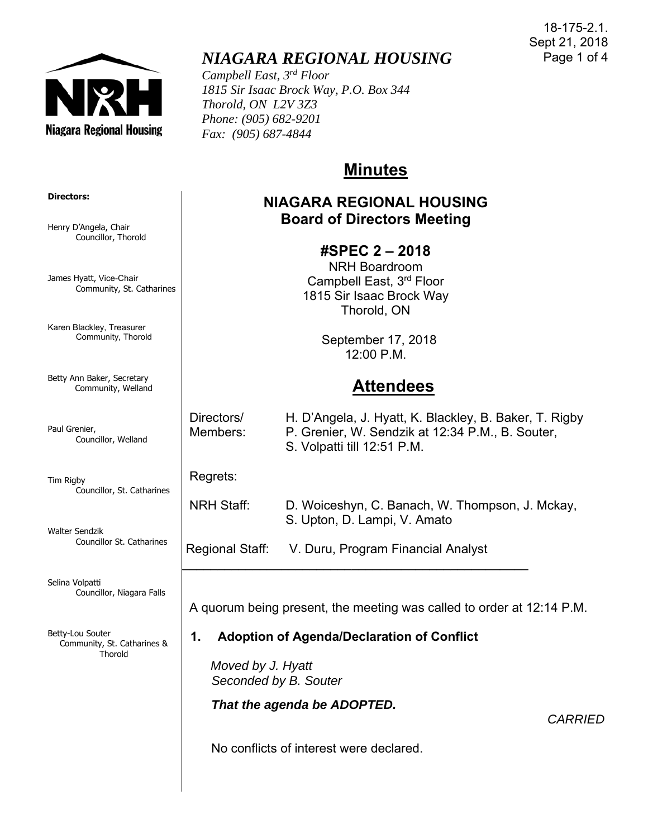

# *NIAGARA REGIONAL HOUSING*

*Campbell East, 3rd Floor 1815 Sir Isaac Brock Way, P.O. Box 344 Thorold, ON L2V 3Z3 Phone: (905) 682-9201 Fax: (905) 687-4844* 

# **Minutes**

### **NIAGARA REGIONAL HOUSING Board of Directors Meeting**

### **#SPEC 2 – 2018**

NRH Boardroom Campbell East, 3rd Floor 1815 Sir Isaac Brock Way Thorold, ON

> September 17, 2018 12:00 P.M.

# **Attendees**

 Directors/ H. D'Angela, J. Hyatt, K. Blackley, B. Baker, T. Rigby Members: P. Grenier, W. Sendzik at 12:34 P.M., B. Souter, S. Volpatti till 12:51 P.M.

Regrets:

 NRH Staff: D. Woiceshyn, C. Banach, W. Thompson, J. Mckay, S. Upton, D. Lampi, V. Amato

Regional Staff: V. Duru, Program Financial Analyst

 $\mathcal{L}_\text{max}$  , and the contract of the contract of the contract of the contract of the contract of the contract of the contract of the contract of the contract of the contract of the contract of the contract of the contr

A quorum being present, the meeting was called to order at 12:14 P.M.

### **1. Adoption of Agenda/Declaration of Conflict**

 *Moved by J. Hyatt Seconded by B. Souter* 

*That the agenda be ADOPTED.* 

*CARRIED* 

No conflicts of interest were declared.

**Directors:**

Henry D'Angela, Chair Councillor, Thorold

James Hyatt, Vice-Chair Community, St. Catharines

Karen Blackley, Treasurer Community, Thorold

Betty Ann Baker, Secretary Community, Welland

Paul Grenier, Councillor, Welland

Tim Rigby Councillor, St. Catharines

Walter Sendzik Councillor St. Catharines

Selina Volpatti Councillor, Niagara Falls

Betty-Lou Souter Community, St. Catharines & **Thorold**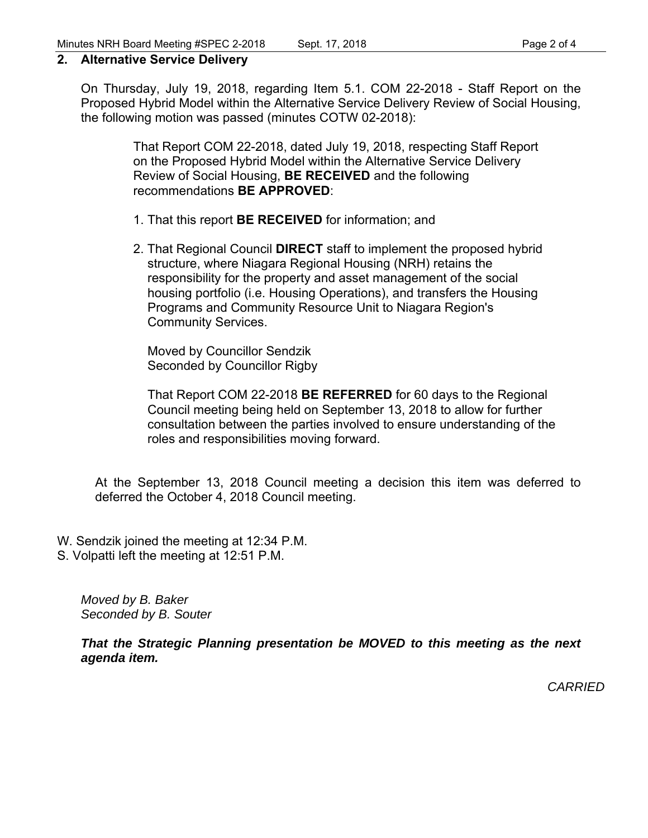#### **2. Alternative Service Delivery**

On Thursday, July 19, 2018, regarding Item 5.1. COM 22-2018 - Staff Report on the Proposed Hybrid Model within the Alternative Service Delivery Review of Social Housing, the following motion was passed (minutes COTW 02-2018):

> That Report COM 22-2018, dated July 19, 2018, respecting Staff Report on the Proposed Hybrid Model within the Alternative Service Delivery Review of Social Housing, **BE RECEIVED** and the following recommendations **BE APPROVED**:

- 1. That this report **BE RECEIVED** for information; and
- 2. That Regional Council **DIRECT** staff to implement the proposed hybrid structure, where Niagara Regional Housing (NRH) retains the responsibility for the property and asset management of the social housing portfolio (i.e. Housing Operations), and transfers the Housing Programs and Community Resource Unit to Niagara Region's Community Services.

Moved by Councillor Sendzik Seconded by Councillor Rigby

That Report COM 22-2018 **BE REFERRED** for 60 days to the Regional Council meeting being held on September 13, 2018 to allow for further consultation between the parties involved to ensure understanding of the roles and responsibilities moving forward.

At the September 13, 2018 Council meeting a decision this item was deferred to deferred the October 4, 2018 Council meeting.

- W. Sendzik joined the meeting at 12:34 P.M.
- S. Volpatti left the meeting at 12:51 P.M.

*Moved by B. Baker Seconded by B. Souter* 

*That the Strategic Planning presentation be MOVED to this meeting as the next agenda item.* 

*CARRIED*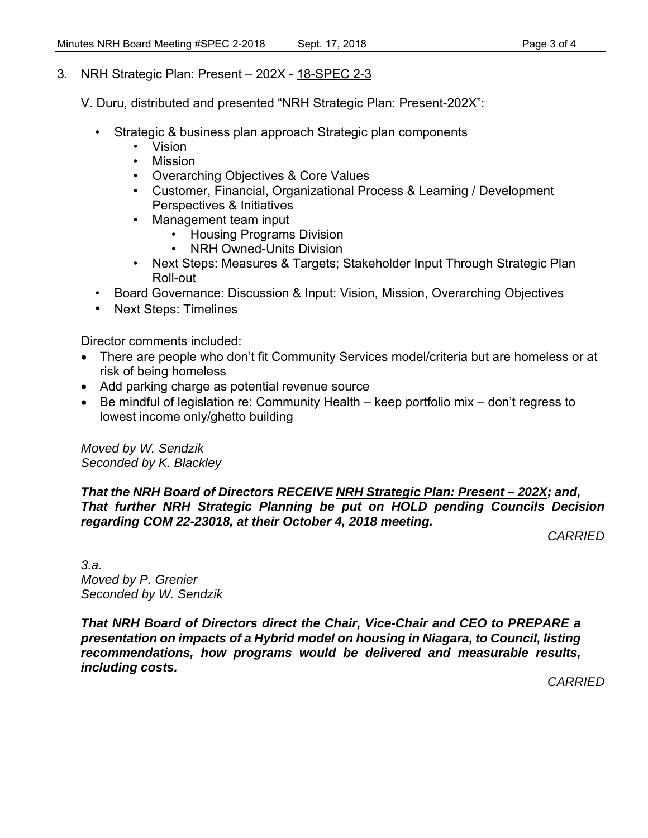- 3. NRH Strategic Plan: Present 202X 18-SPEC 2-3
	- V. Duru, distributed and presented "NRH Strategic Plan: Present-202X":
		- Strategic & business plan approach Strategic plan components
			- Vision
			- Mission
			- Overarching Objectives & Core Values
			- Customer, Financial, Organizational Process & Learning / Development Perspectives & Initiatives
			- Management team input
				- Housing Programs Division
				- NRH Owned-Units Division
			- Next Steps: Measures & Targets; Stakeholder Input Through Strategic Plan Roll-out
		- Board Governance: Discussion & Input: Vision, Mission, Overarching Objectives
		- Next Steps: Timelines

Director comments included:

- There are people who don't fit Community Services model/criteria but are homeless or at risk of being homeless
- Add parking charge as potential revenue source
- Be mindful of legislation re: Community Health keep portfolio mix don't regress to lowest income only/ghetto building

*Moved by W. Sendzik Seconded by K. Blackley* 

#### *That the NRH Board of Directors RECEIVE NRH Strategic Plan: Present – 202X; and, That further NRH Strategic Planning be put on HOLD pending Councils Decision regarding COM 22-23018, at their October 4, 2018 meeting.*

*CARRIED* 

*3.a. Moved by P. Grenier Seconded by W. Sendzik* 

*That NRH Board of Directors direct the Chair, Vice-Chair and CEO to PREPARE a presentation on impacts of a Hybrid model on housing in Niagara, to Council, listing recommendations, how programs would be delivered and measurable results, including costs.* 

*CARRIED*